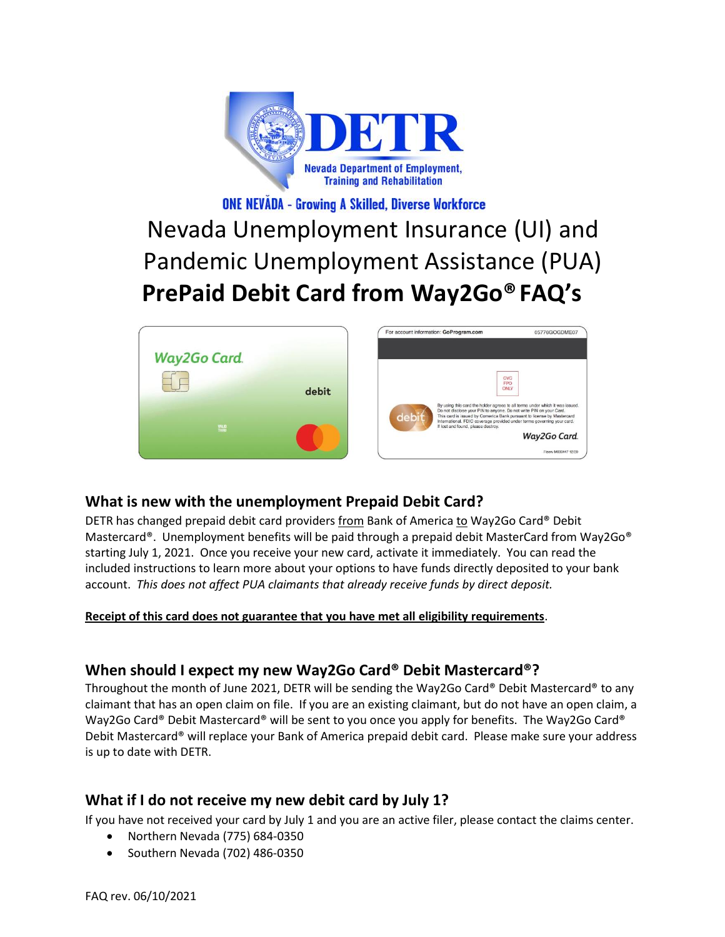

# **ONE NEVĂDA - Growing A Skilled, Diverse Workforce**

# Nevada Unemployment Insurance (UI) and Pandemic Unemployment Assistance (PUA) **PrePaid Debit Card from Way2Go®FAQ's**



# **What is new with the unemployment Prepaid Debit Card?**

DETR has changed prepaid debit card providers from Bank of America to Way2Go Card® Debit Mastercard®. Unemployment benefits will be paid through a prepaid debit MasterCard from Way2Go® starting July 1, 2021. Once you receive your new card, activate it immediately. You can read the included instructions to learn more about your options to have funds directly deposited to your bank account. *This does not affect PUA claimants that already receive funds by direct deposit.*

**Receipt of this card does not guarantee that you have met all eligibility requirements**.

# **When should I expect my new Way2Go Card® Debit Mastercard®?**

Throughout the month of June 2021, DETR will be sending the Way2Go Card® Debit Mastercard® to any claimant that has an open claim on file. If you are an existing claimant, but do not have an open claim, a Way2Go Card® Debit Mastercard® will be sent to you once you apply for benefits. The Way2Go Card® Debit Mastercard® will replace your Bank of America prepaid debit card. Please make sure your address is up to date with DETR.

# **What if I do not receive my new debit card by July 1?**

If you have not received your card by July 1 and you are an active filer, please contact the claims center.

- Northern Nevada (775) 684-0350
- Southern Nevada (702) 486-0350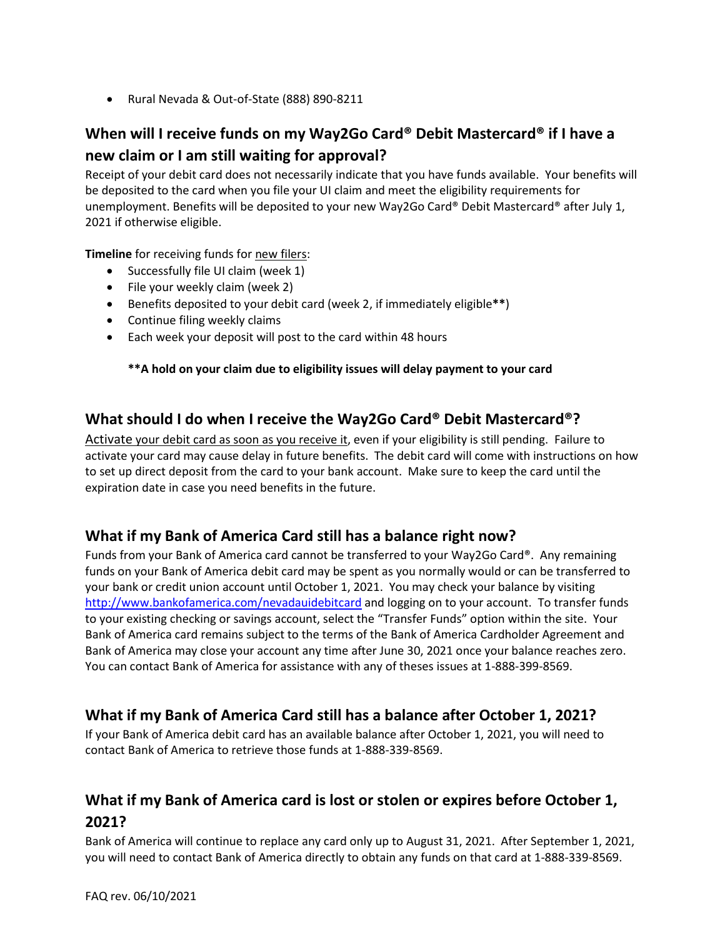• Rural Nevada & Out-of-State (888) 890-8211

# **When will I receive funds on my Way2Go Card® Debit Mastercard® if I have a new claim or I am still waiting for approval?**

Receipt of your debit card does not necessarily indicate that you have funds available. Your benefits will be deposited to the card when you file your UI claim and meet the eligibility requirements for unemployment. Benefits will be deposited to your new Way2Go Card® Debit Mastercard® after July 1, 2021 if otherwise eligible.

**Timeline** for receiving funds for new filers:

- Successfully file UI claim (week 1)
- File your weekly claim (week 2)
- Benefits deposited to your debit card (week 2, if immediately eligible**\*\***)
- Continue filing weekly claims
- Each week your deposit will post to the card within 48 hours

### **\*\*A hold on your claim due to eligibility issues will delay payment to your card**

### **What should I do when I receive the Way2Go Card® Debit Mastercard®?**

Activate your debit card as soon as you receive it, even if your eligibility is still pending. Failure to activate your card may cause delay in future benefits. The debit card will come with instructions on how to set up direct deposit from the card to your bank account. Make sure to keep the card until the expiration date in case you need benefits in the future.

# **What if my Bank of America Card still has a balance right now?**

Funds from your Bank of America card cannot be transferred to your Way2Go Card®. Any remaining funds on your Bank of America debit card may be spent as you normally would or can be transferred to your bank or credit union account until October 1, 2021. You may check your balance by visiting <http://www.bankofamerica.com/nevadauidebitcard> and logging on to your account. To transfer funds to your existing checking or savings account, select the "Transfer Funds" option within the site. Your Bank of America card remains subject to the terms of the Bank of America Cardholder Agreement and Bank of America may close your account any time after June 30, 2021 once your balance reaches zero. You can contact Bank of America for assistance with any of theses issues at 1-888-399-8569.

# **What if my Bank of America Card still has a balance after October 1, 2021?**

If your Bank of America debit card has an available balance after October 1, 2021, you will need to contact Bank of America to retrieve those funds at 1-888-339-8569.

# **What if my Bank of America card is lost or stolen or expires before October 1, 2021?**

Bank of America will continue to replace any card only up to August 31, 2021. After September 1, 2021, you will need to contact Bank of America directly to obtain any funds on that card at 1-888-339-8569.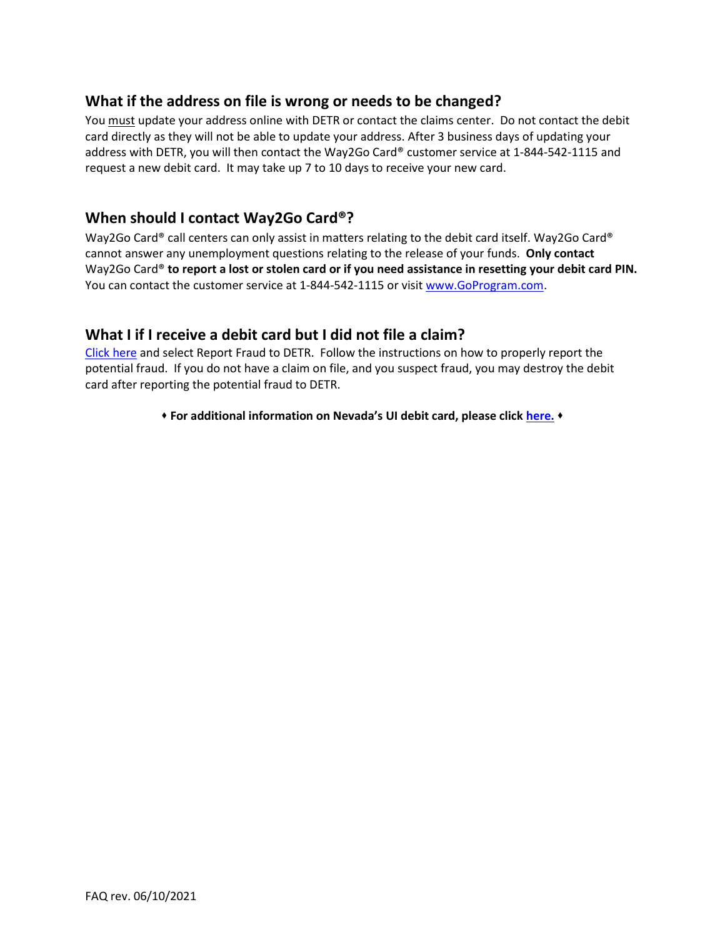### **What if the address on file is wrong or needs to be changed?**

You must update your address online with DETR or contact the claims center. Do not contact the debit card directly as they will not be able to update your address. After 3 business days of updating your address with DETR, you will then contact the Way2Go Card® customer service at 1-844-542-1115 and request a new debit card. It may take up 7 to 10 days to receive your new card.

### **When should I contact Way2Go Card®?**

Way2Go Card® call centers can only assist in matters relating to the debit card itself. Way2Go Card® cannot answer any unemployment questions relating to the release of your funds. **Only contact**  Way2Go Card® **to report a lost or stolen card or if you need assistance in resetting your debit card PIN.**  You can contact the customer service at 1-844-542-1115 or visi[t www.GoProgram.com.](http://www.goprogram.com/)

### **What I if I receive a debit card but I did not file a claim?**

[Click here](https://detr.nv.gov/Page/Unemployment_Fraud) and select Report Fraud to DETR. Follow the instructions on how to properly report the potential fraud. If you do not have a claim on file, and you suspect fraud, you may destroy the debit card after reporting the potential fraud to DETR.

⬧ **For additional information on Nevada's UI debit card, please click [here.](https://detr.nv.gov/page/Unemployment_Debit_Card)** ⬧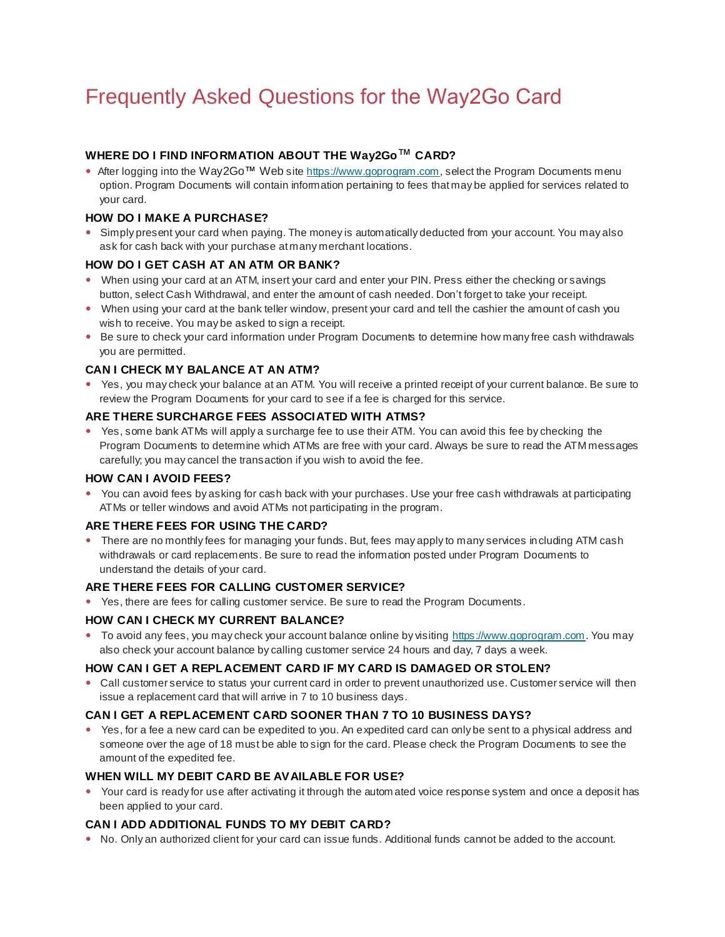# Frequently Asked Questions for the Way2Go Card

#### **WHERE DO I FIND INFORMATION ABOUT THE Way2Go**™ **CARD?**

• After logging into the Way2Go™ Web site https://www.goprogram.com, select the Program Documents menu option. Program Documents will contain information pertaining to fees that may be applied for services related to your card.

#### **HOW DO I MAKE A PURCHASE?**

 Simply present your card when paying. The money is automatically deducted from your account. You may also ask for cash back with your purchase at many merchant locations.

#### **HOW DO I GET CASH AT AN ATM OR BANK?**

- When using your card at an ATM, insert your card and enter your PIN. Press either the checking or savings button, select Cash Withdrawal, and enter the amount of cash needed. Don't forget to take your receipt.
- When using your card at the bank teller window, present your card and tell the cashier the amount of cash you wish to receive. You may be asked to sign a receipt.
- Be sure to check your card information under Program Documents to determine how many free cash withdrawals you are permitted.

#### **CAN I CHECK MY BALANCE AT AN ATM?**

 Yes, you may check your balance at an ATM. You will receive a printed receipt of your current balance. Be sure to review the Program Documents for your card to see if a fee is charged for this service.

#### **ARE THERE SURCHARGE FEES ASSOCIATED WITH ATMS?**

 Yes, some bank ATMs will apply a surcharge fee to use their ATM. You can avoid this fee by checking the Program Documents to determine which ATMs are free with your card. Always be sure to read the ATM messages carefully; you may cancel the transaction if you wish to avoid the fee.

#### **HOW CAN I AVOID FEES?**

 You can avoid fees by asking for cash back with your purchases. Use your free cash withdrawals at participating ATMs or teller windows and avoid ATMs not participating in the program.

#### **ARE THERE FEES FOR USING THE CARD?**

 There are no monthly fees for managing your funds. But, fees may apply to many services including ATM cash withdrawals or card replacements. Be sure to read the information posted under Program Documents to understand the details of your card.

#### **ARE THERE FEES FOR CALLING CUSTOMER SERVICE?**

Yes, there are fees for calling customer service. Be sure to read the Program Documents.

#### **HOW CAN I CHECK MY CURRENT BALANCE?**

To avoid any fees, you may check your account balance online by visiting https://www.goprogram.com. You may also check your account balance by calling customer service 24 hours and day, 7 days a week.

#### **HOW CAN I GET A REPLACEMENT CARD IF MY CARD IS DAMAGED OR STOLEN?**

 Call customer service to status your current card in order to prevent unauthorized use. Customer service will then issue a replacement card that will arrive in 7 to 10 business days.

#### **CAN I GET A REPLACEMENT CARD SOONER THAN 7 TO 10 BUSINESS DAYS?**

 Yes, for a fee a new card can be expedited to you. An expedited card can only be sent to a physical address and someone over the age of 18 must be able to sign for the card. Please check the Program Documents to see the amount of the expedited fee.

#### **WHEN WILL MY DEBIT CARD BE AVAILABLE FOR USE?**

 Your card is ready for use after activating it through the autom ated voice response system and once a deposit has been applied to your card.

#### **CAN I ADD ADDITIONAL FUNDS TO MY DEBIT CARD?**

No. Only an authorized client for your card can issue funds. Additional funds cannot be added to the account.